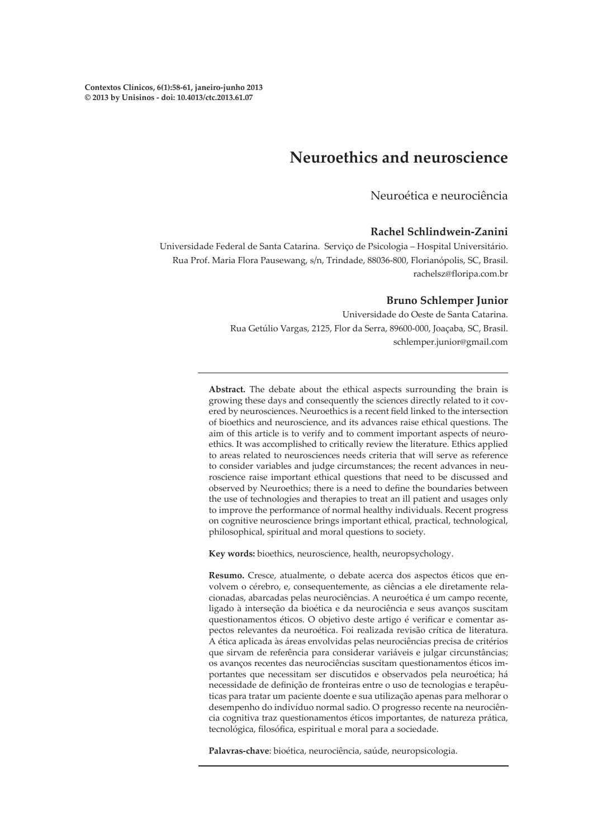# **Neuroethics and neuroscience**

Neuroética e neurociência

#### **Rachel Schlindwein-Zanini**

Universidade Federal de Santa Catarina. Serviço de Psicologia – Hospital Universitário. Rua Prof. Maria Flora Pausewang, s/n, Trindade, 88036-800, Florianópolis, SC, Brasil. rachelsz@floripa.com.br

#### **Bruno Schlemper Junior**

Universidade do Oeste de Santa Catarina. Rua Getúlio Vargas, 2125, Flor da Serra, 89600-000, Joaçaba, SC, Brasil. schlemper.junior@gmail.com

**Abstract.** The debate about the ethical aspects surrounding the brain is growing these days and consequently the sciences directly related to it covered by neurosciences. Neuroethics is a recent field linked to the intersection of bioethics and neuroscience, and its advances raise ethical questions. The aim of this article is to verify and to comment important aspects of neuroethics. It was accomplished to critically review the literature. Ethics applied to areas related to neurosciences needs criteria that will serve as reference to consider variables and judge circumstances; the recent advances in neuroscience raise important ethical questions that need to be discussed and observed by Neuroethics; there is a need to define the boundaries between the use of technologies and therapies to treat an ill patient and usages only to improve the performance of normal healthy individuals. Recent progress on cognitive neuroscience brings important ethical, practical, technological, philosophical, spiritual and moral questions to society.

**Key words:** bioethics, neuroscience, health, neuropsychology.

**Resumo.** Cresce, atualmente, o debate acerca dos aspectos éticos que envolvem o cérebro, e, consequentemente, as ciências a ele diretamente relacionadas, abarcadas pelas neurociências. A neuroética é um campo recente, ligado à interseção da bioética e da neurociência e seus avanços suscitam questionamentos éticos. O objetivo deste artigo é verificar e comentar aspectos relevantes da neuroética. Foi realizada revisão crítica de literatura. A ética aplicada às áreas envolvidas pelas neurociências precisa de critérios que sirvam de referência para considerar variáveis e julgar circunstâncias; os avanços recentes das neurociências suscitam questionamentos éticos importantes que necessitam ser discutidos e observados pela neuroética; há necessidade de definição de fronteiras entre o uso de tecnologias e terapêuticas para tratar um paciente doente e sua utilização apenas para melhorar o desempenho do indivíduo normal sadio. O progresso recente na neurociência cognitiva traz questionamentos éticos importantes, de natureza prática, tecnológica, filosófica, espiritual e moral para a sociedade.

**Palavras-chave**: bioética, neurociência, saúde, neuropsicologia.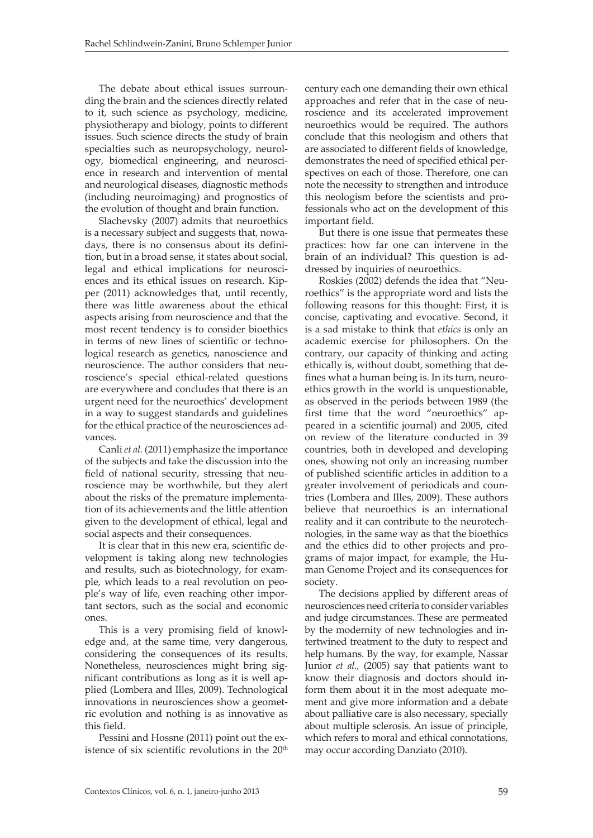The debate about ethical issues surrounding the brain and the sciences directly related to it, such science as psychology, medicine, physiotherapy and biology, points to different issues. Such science directs the study of brain specialties such as neuropsychology, neurology, biomedical engineering, and neuroscience in research and intervention of mental and neurological diseases, diagnostic methods (including neuroimaging) and prognostics of the evolution of thought and brain function.

Slachevsky (2007) admits that neuroethics is a necessary subject and suggests that, nowadays, there is no consensus about its definition, but in a broad sense, it states about social, legal and ethical implications for neurosciences and its ethical issues on research. Kipper (2011) acknowledges that, until recently, there was little awareness about the ethical aspects arising from neuroscience and that the most recent tendency is to consider bioethics in terms of new lines of scientific or technological research as genetics, nanoscience and neuroscience. The author considers that neuroscience's special ethical-related questions are everywhere and concludes that there is an urgent need for the neuroethics' development in a way to suggest standards and guidelines for the ethical practice of the neurosciences advances.

Canli *et al.* (2011) emphasize the importance of the subjects and take the discussion into the field of national security, stressing that neuroscience may be worthwhile, but they alert about the risks of the premature implementation of its achievements and the little attention given to the development of ethical, legal and social aspects and their consequences.

It is clear that in this new era, scientific development is taking along new technologies and results, such as biotechnology, for example, which leads to a real revolution on people's way of life, even reaching other important sectors, such as the social and economic ones.

This is a very promising field of knowledge and, at the same time, very dangerous, considering the consequences of its results. Nonetheless, neurosciences might bring significant contributions as long as it is well applied (Lombera and Illes, 2009). Technological innovations in neurosciences show a geometric evolution and nothing is as innovative as this field.

Pessini and Hossne (2011) point out the existence of six scientific revolutions in the  $20<sup>th</sup>$  century each one demanding their own ethical approaches and refer that in the case of neuroscience and its accelerated improvement neuroethics would be required. The authors conclude that this neologism and others that are associated to different fields of knowledge, demonstrates the need of specified ethical perspectives on each of those. Therefore, one can note the necessity to strengthen and introduce this neologism before the scientists and professionals who act on the development of this important field.

But there is one issue that permeates these practices: how far one can intervene in the brain of an individual? This question is addressed by inquiries of neuroethics.

Roskies (2002) defends the idea that "Neuroethics" is the appropriate word and lists the following reasons for this thought: First, it is concise, captivating and evocative. Second, it is a sad mistake to think that *ethics* is only an academic exercise for philosophers. On the contrary, our capacity of thinking and acting ethically is, without doubt, something that defines what a human being is. In its turn, neuroethics growth in the world is unquestionable, as observed in the periods between 1989 (the first time that the word "neuroethics" appeared in a scientific journal) and 2005, cited on review of the literature conducted in 39 countries, both in developed and developing ones, showing not only an increasing number of published scientific articles in addition to a greater involvement of periodicals and countries (Lombera and Illes, 2009). These authors believe that neuroethics is an international reality and it can contribute to the neurotechnologies, in the same way as that the bioethics and the ethics did to other projects and programs of major impact, for example, the Human Genome Project and its consequences for society.

The decisions applied by different areas of neurosciences need criteria to consider variables and judge circumstances. These are permeated by the modernity of new technologies and intertwined treatment to the duty to respect and help humans. By the way, for example, Nassar Junior *et al.,* (2005) say that patients want to know their diagnosis and doctors should inform them about it in the most adequate moment and give more information and a debate about palliative care is also necessary, specially about multiple sclerosis. An issue of principle, which refers to moral and ethical connotations. may occur according Danziato (2010).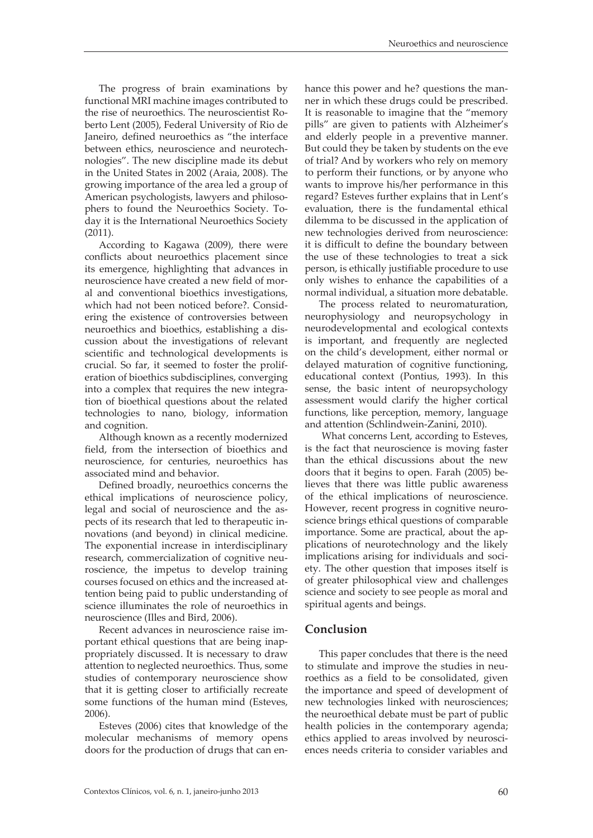The progress of brain examinations by functional MRI machine images contributed to the rise of neuroethics. The neuroscientist Roberto Lent (2005), Federal University of Rio de Janeiro, defined neuroethics as "the interface between ethics, neuroscience and neurotechnologies". The new discipline made its debut in the United States in 2002 (Araia, 2008). The growing importance of the area led a group of American psychologists, lawyers and philosophers to found the Neuroethics Society. Today it is the International Neuroethics Society (2011).

According to Kagawa (2009), there were conflicts about neuroethics placement since its emergence, highlighting that advances in neuroscience have created a new field of moral and conventional bioethics investigations, which had not been noticed before?. Considering the existence of controversies between neuroethics and bioethics, establishing a discussion about the investigations of relevant scientific and technological developments is crucial. So far, it seemed to foster the proliferation of bioethics subdisciplines, converging into a complex that requires the new integration of bioethical questions about the related technologies to nano, biology, information and cognition.

Although known as a recently modernized field, from the intersection of bioethics and neuroscience, for centuries, neuroethics has associated mind and behavior.

Defined broadly, neuroethics concerns the ethical implications of neuroscience policy, legal and social of neuroscience and the aspects of its research that led to therapeutic innovations (and beyond) in clinical medicine. The exponential increase in interdisciplinary research, commercialization of cognitive neuroscience, the impetus to develop training courses focused on ethics and the increased attention being paid to public understanding of science illuminates the role of neuroethics in neuroscience (Illes and Bird, 2006).

Recent advances in neuroscience raise important ethical questions that are being inappropriately discussed. It is necessary to draw attention to neglected neuroethics. Thus, some studies of contemporary neuroscience show that it is getting closer to artificially recreate some functions of the human mind (Esteves, 2006).

Esteves (2006) cites that knowledge of the molecular mechanisms of memory opens doors for the production of drugs that can enhance this power and he? questions the manner in which these drugs could be prescribed. It is reasonable to imagine that the "memory pills" are given to patients with Alzheimer's and elderly people in a preventive manner. But could they be taken by students on the eve of trial? And by workers who rely on memory to perform their functions, or by anyone who wants to improve his/her performance in this regard? Esteves further explains that in Lent's evaluation, there is the fundamental ethical dilemma to be discussed in the application of new technologies derived from neuroscience: it is difficult to define the boundary between the use of these technologies to treat a sick person, is ethically justifiable procedure to use only wishes to enhance the capabilities of a normal individual, a situation more debatable.

The process related to neuromaturation, neurophysiology and neuropsychology in neurodevelopmental and ecological contexts is important, and frequently are neglected on the child's development, either normal or delayed maturation of cognitive functioning, educational context (Pontius, 1993). In this sense, the basic intent of neuropsychology assessment would clarify the higher cortical functions, like perception, memory, language and attention (Schlindwein-Zanini, 2010).

 What concerns Lent, according to Esteves, is the fact that neuroscience is moving faster than the ethical discussions about the new doors that it begins to open. Farah (2005) believes that there was little public awareness of the ethical implications of neuroscience. However, recent progress in cognitive neuroscience brings ethical questions of comparable importance. Some are practical, about the applications of neurotechnology and the likely implications arising for individuals and society. The other question that imposes itself is of greater philosophical view and challenges science and society to see people as moral and spiritual agents and beings.

### **Conclusion**

This paper concludes that there is the need to stimulate and improve the studies in neuroethics as a field to be consolidated, given the importance and speed of development of new technologies linked with neurosciences; the neuroethical debate must be part of public health policies in the contemporary agenda; ethics applied to areas involved by neurosciences needs criteria to consider variables and